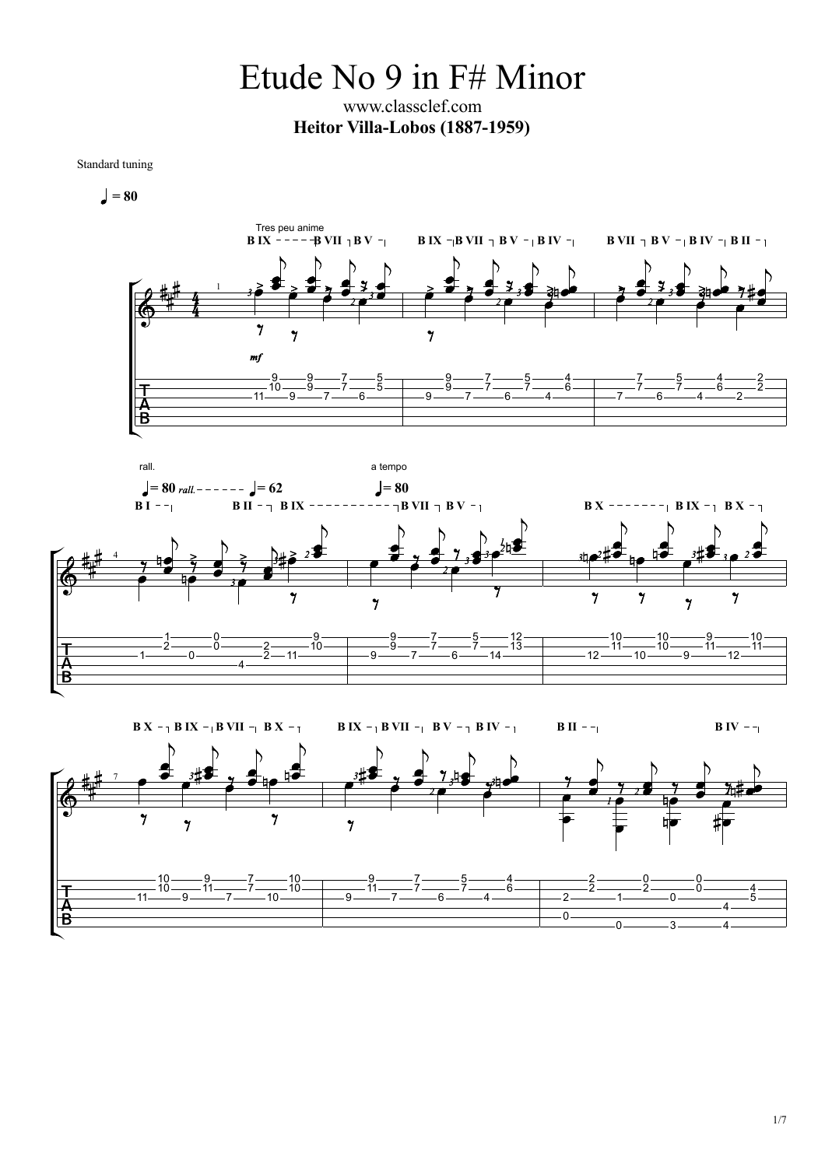Etude No 9 in F# Minor

www.classclef.com **Heitor Villa-Lobos (1887-1959)**

Standard tuning

$$
\Box = 80
$$





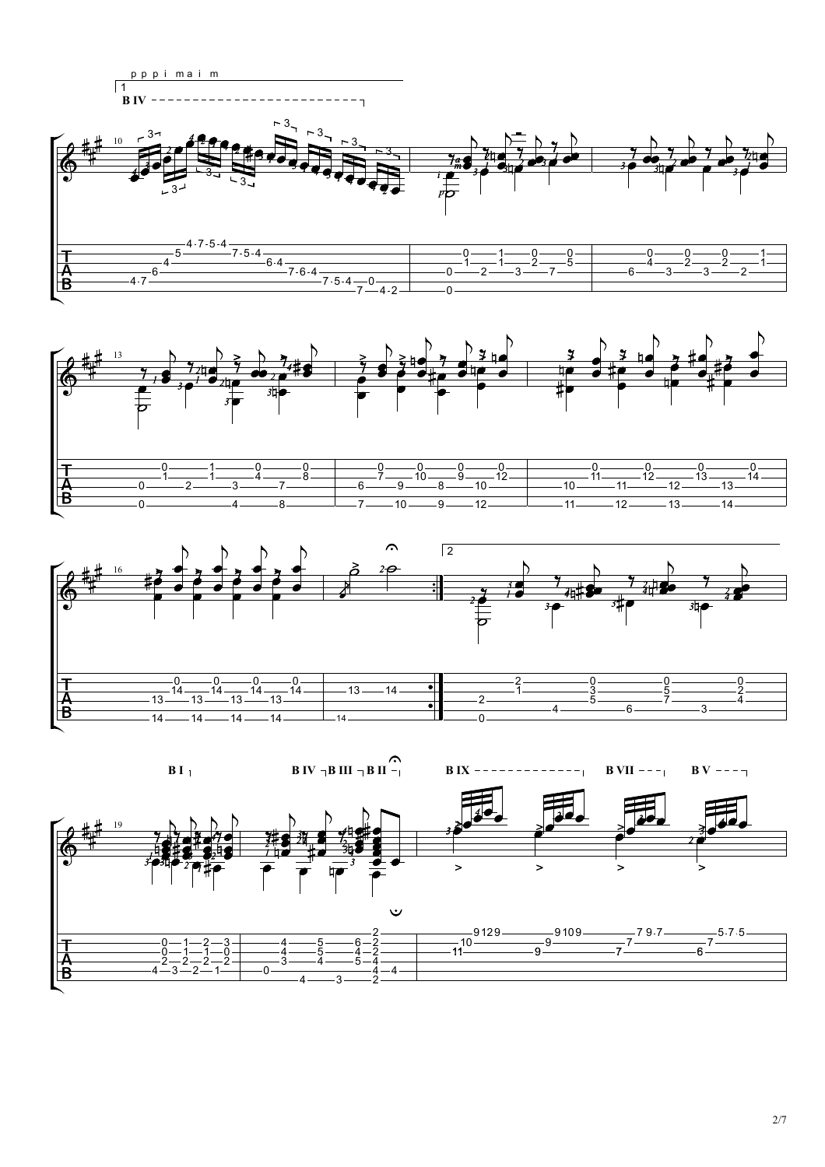





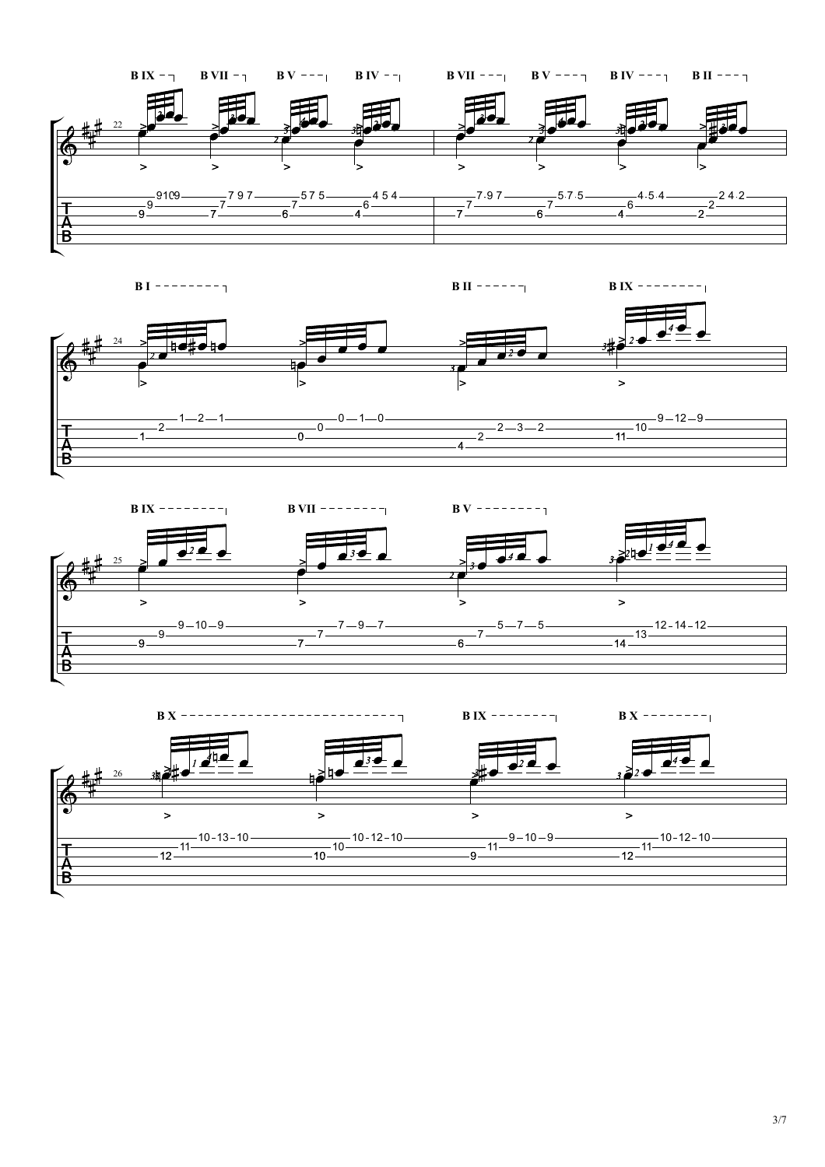





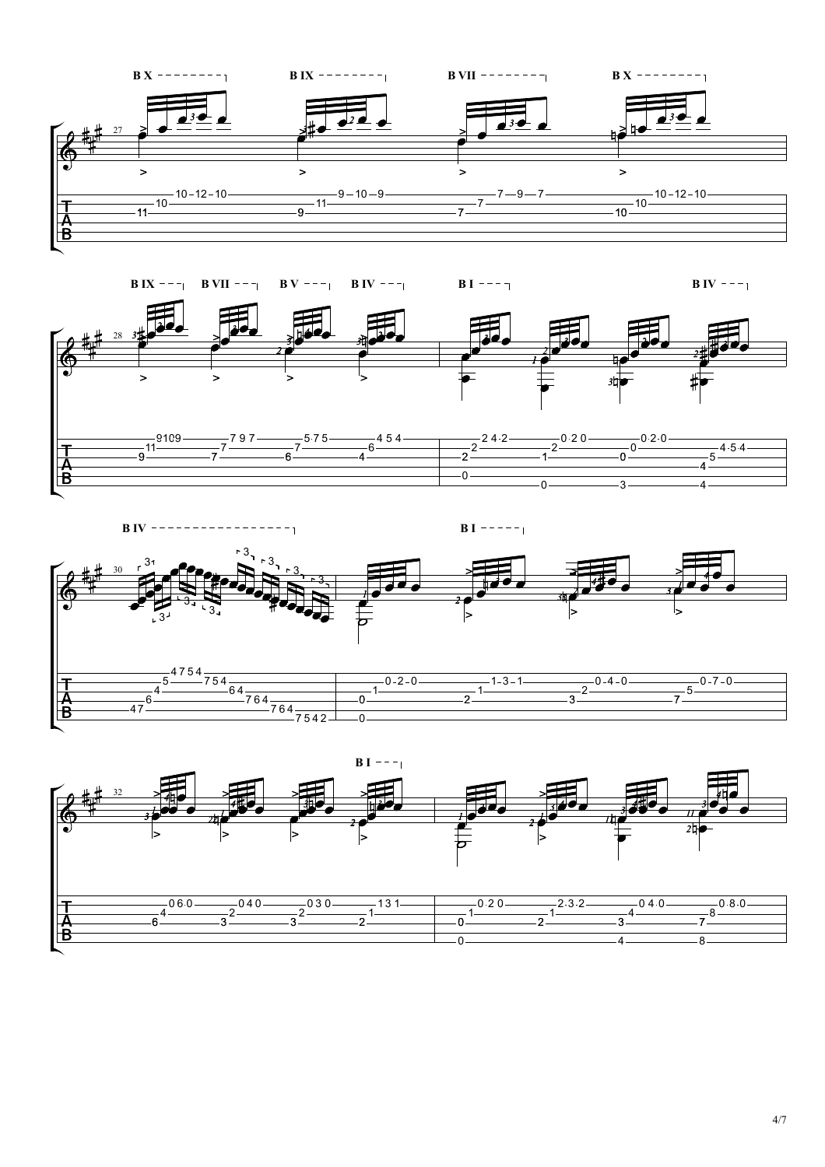







4/7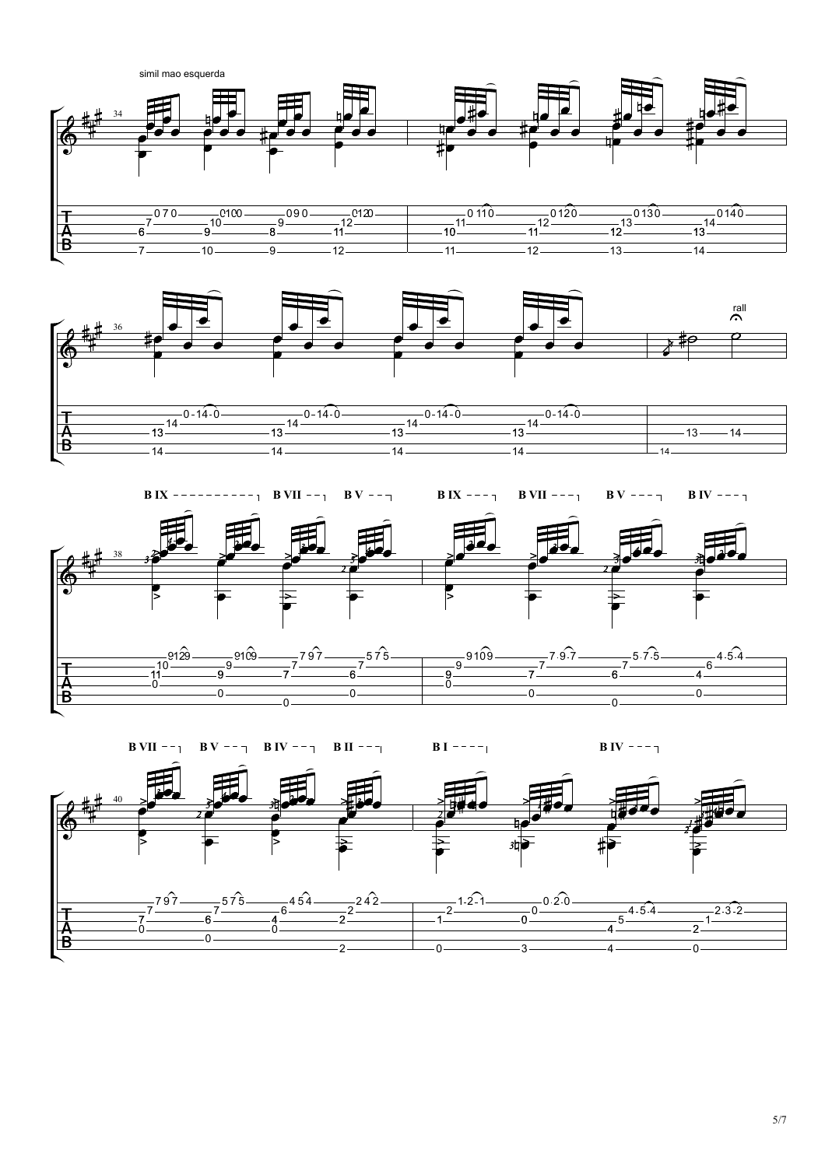







5/7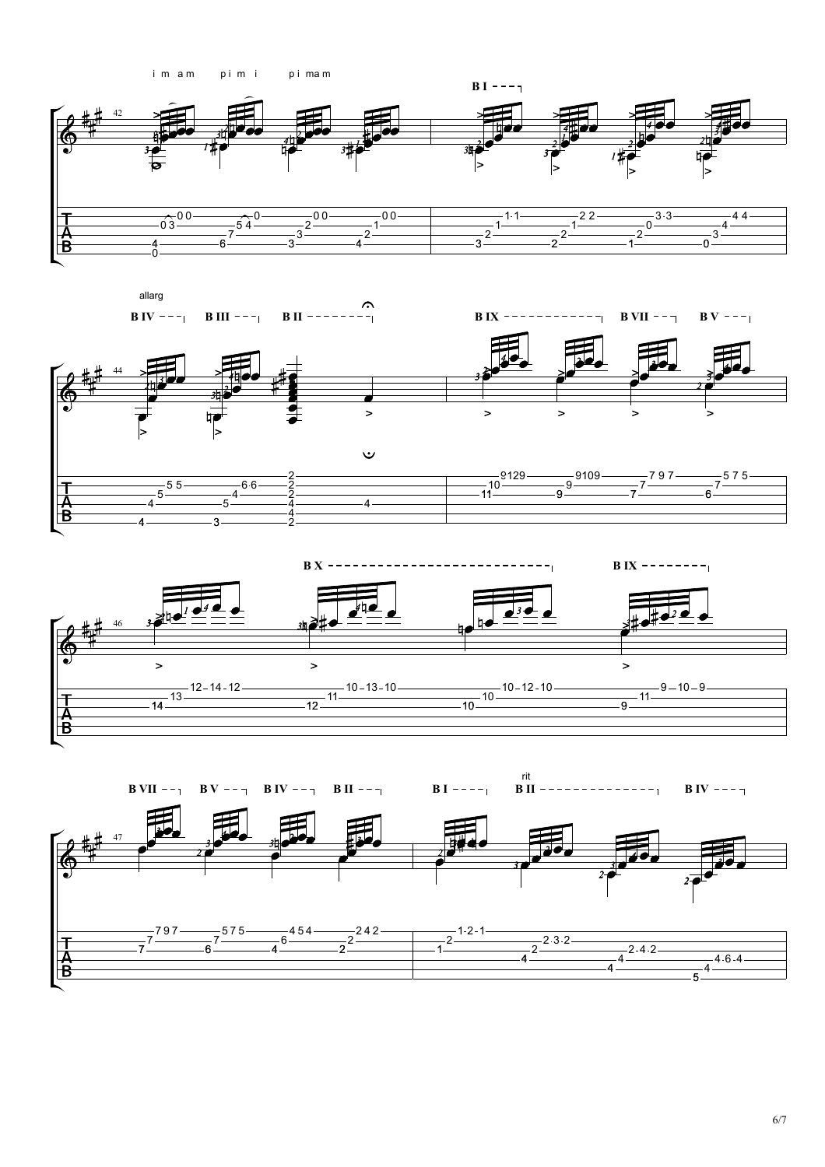







6/7